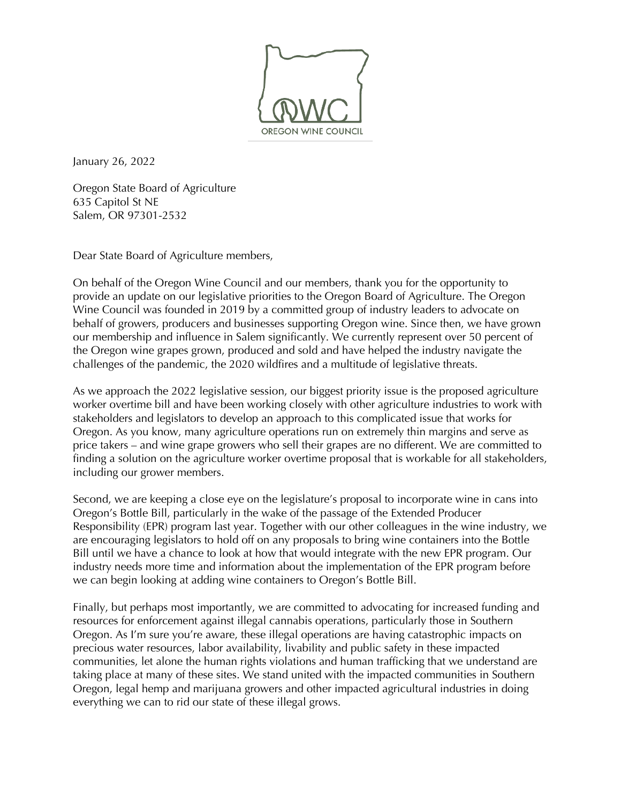

January 26, 2022

Oregon State Board of Agriculture 635 Capitol St NE Salem, OR 97301-2532

Dear State Board of Agriculture members,

On behalf of the Oregon Wine Council and our members, thank you for the opportunity to provide an update on our legislative priorities to the Oregon Board of Agriculture. The Oregon Wine Council was founded in 2019 by a committed group of industry leaders to advocate on behalf of growers, producers and businesses supporting Oregon wine. Since then, we have grown our membership and influence in Salem significantly. We currently represent over 50 percent of the Oregon wine grapes grown, produced and sold and have helped the industry navigate the challenges of the pandemic, the 2020 wildfires and a multitude of legislative threats.

As we approach the 2022 legislative session, our biggest priority issue is the proposed agriculture worker overtime bill and have been working closely with other agriculture industries to work with stakeholders and legislators to develop an approach to this complicated issue that works for Oregon. As you know, many agriculture operations run on extremely thin margins and serve as price takers – and wine grape growers who sell their grapes are no different. We are committed to finding a solution on the agriculture worker overtime proposal that is workable for all stakeholders, including our grower members.

Second, we are keeping a close eye on the legislature's proposal to incorporate wine in cans into Oregon's Bottle Bill, particularly in the wake of the passage of the Extended Producer Responsibility (EPR) program last year. Together with our other colleagues in the wine industry, we are encouraging legislators to hold off on any proposals to bring wine containers into the Bottle Bill until we have a chance to look at how that would integrate with the new EPR program. Our industry needs more time and information about the implementation of the EPR program before we can begin looking at adding wine containers to Oregon's Bottle Bill.

Finally, but perhaps most importantly, we are committed to advocating for increased funding and resources for enforcement against illegal cannabis operations, particularly those in Southern Oregon. As I'm sure you're aware, these illegal operations are having catastrophic impacts on precious water resources, labor availability, livability and public safety in these impacted communities, let alone the human rights violations and human trafficking that we understand are taking place at many of these sites. We stand united with the impacted communities in Southern Oregon, legal hemp and marijuana growers and other impacted agricultural industries in doing everything we can to rid our state of these illegal grows.